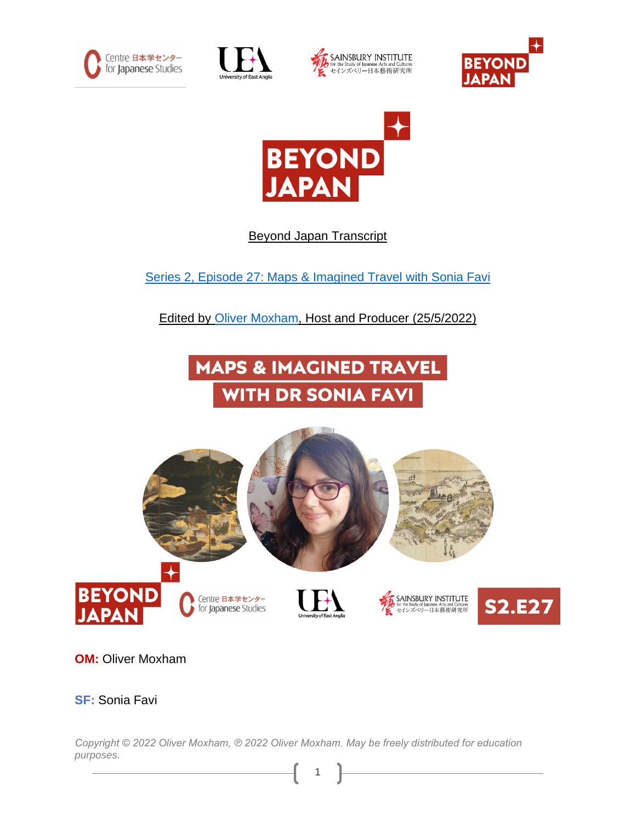









## Beyond Japan Transcript

Series 2, Episode 27: [Maps & Imagined Travel with Sonia Favi](https://japaninnorwich.org/2022/05/12/s2e26-infrastructure-for-the-blind/)

Edited by [Oliver Moxham,](https://olivermoxham.wordpress.com/) Host and Producer (25/5/2022)





**OM:** Oliver Moxham

**SF:** Sonia Favi

*Copyright © 2022 Oliver Moxham, ℗ 2022 Oliver Moxham. May be freely distributed for education purposes.*

1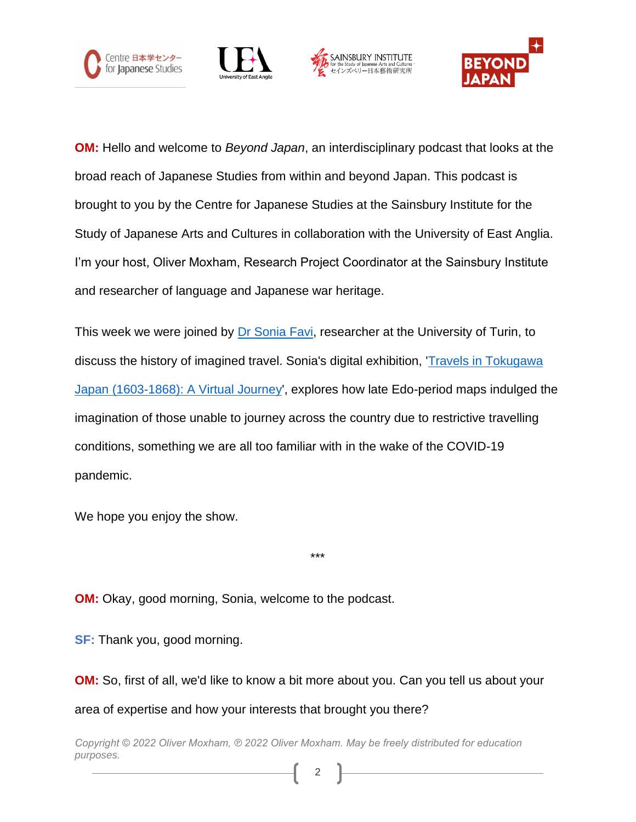







**OM:** Hello and welcome to *Beyond Japan*, an interdisciplinary podcast that looks at the broad reach of Japanese Studies from within and beyond Japan. This podcast is brought to you by the Centre for Japanese Studies at the Sainsbury Institute for the Study of Japanese Arts and Cultures in collaboration with the University of East Anglia. I'm your host, Oliver Moxham, Research Project Coordinator at the Sainsbury Institute and researcher of language and Japanese war heritage.

This week we were joined by Dr [Sonia Favi,](https://www.linkedin.com/in/sonia-favi-ba552a206/) researcher at the University of Turin, to discuss the history of imagined travel. Sonia's digital exhibition, ['Travels in Tokugawa](https://digitalexhibitions.manchester.ac.uk/s/travels-in-japan/page/introduction)  Japan [\(1603-1868\): A Virtual Journey',](https://digitalexhibitions.manchester.ac.uk/s/travels-in-japan/page/introduction) explores how late Edo-period maps indulged the imagination of those unable to journey across the country due to restrictive travelling conditions, something we are all too familiar with in the wake of the COVID-19 pandemic.

\*\*\*

We hope you enjoy the show.

**OM:** Okay, good morning, Sonia, welcome to the podcast.

**SF:** Thank you, good morning.

**OM:** So, first of all, we'd like to know a bit more about you. Can you tell us about your area of expertise and how your interests that brought you there?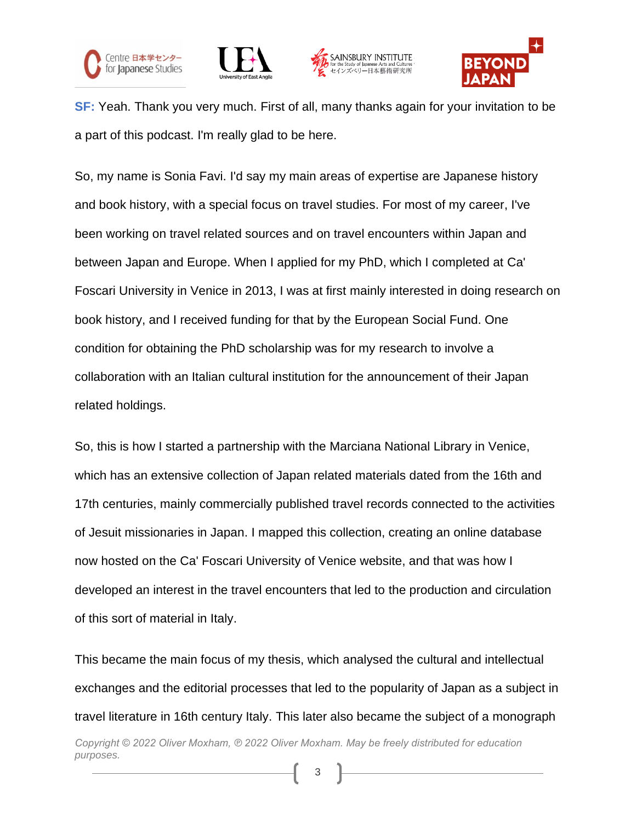







**SF:** Yeah. Thank you very much. First of all, many thanks again for your invitation to be a part of this podcast. I'm really glad to be here.

So, my name is Sonia Favi. I'd say my main areas of expertise are Japanese history and book history, with a special focus on travel studies. For most of my career, I've been working on travel related sources and on travel encounters within Japan and between Japan and Europe. When I applied for my PhD, which I completed at Ca' Foscari University in Venice in 2013, I was at first mainly interested in doing research on book history, and I received funding for that by the European Social Fund. One condition for obtaining the PhD scholarship was for my research to involve a collaboration with an Italian cultural institution for the announcement of their Japan related holdings.

So, this is how I started a partnership with the Marciana National Library in Venice, which has an extensive collection of Japan related materials dated from the 16th and 17th centuries, mainly commercially published travel records connected to the activities of Jesuit missionaries in Japan. I mapped this collection, creating an online database now hosted on the Ca' Foscari University of Venice website, and that was how I developed an interest in the travel encounters that led to the production and circulation of this sort of material in Italy.

This became the main focus of my thesis, which analysed the cultural and intellectual exchanges and the editorial processes that led to the popularity of Japan as a subject in travel literature in 16th century Italy. This later also became the subject of a monograph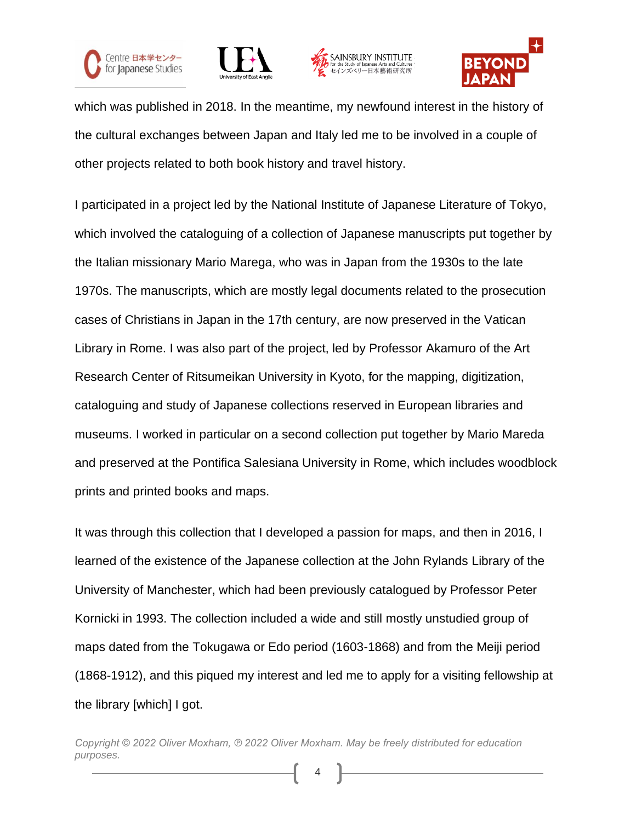







which was published in 2018. In the meantime, my newfound interest in the history of the cultural exchanges between Japan and Italy led me to be involved in a couple of other projects related to both book history and travel history.

I participated in a project led by the National Institute of Japanese Literature of Tokyo, which involved the cataloguing of a collection of Japanese manuscripts put together by the Italian missionary Mario Marega, who was in Japan from the 1930s to the late 1970s. The manuscripts, which are mostly legal documents related to the prosecution cases of Christians in Japan in the 17th century, are now preserved in the Vatican Library in Rome. I was also part of the project, led by Professor Akamuro of the Art Research Center of Ritsumeikan University in Kyoto, for the mapping, digitization, cataloguing and study of Japanese collections reserved in European libraries and museums. I worked in particular on a second collection put together by Mario Mareda and preserved at the Pontifica Salesiana University in Rome, which includes woodblock prints and printed books and maps.

It was through this collection that I developed a passion for maps, and then in 2016, I learned of the existence of the Japanese collection at the John Rylands Library of the University of Manchester, which had been previously catalogued by Professor Peter Kornicki in 1993. The collection included a wide and still mostly unstudied group of maps dated from the Tokugawa or Edo period (1603-1868) and from the Meiji period (1868-1912), and this piqued my interest and led me to apply for a visiting fellowship at the library [which] I got.

*Copyright © 2022 Oliver Moxham, ℗ 2022 Oliver Moxham. May be freely distributed for education purposes.*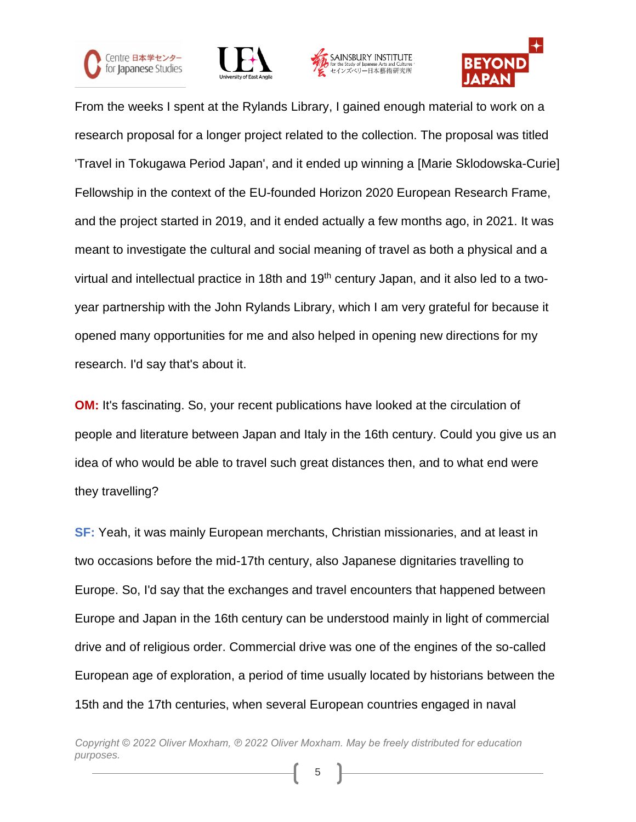







From the weeks I spent at the Rylands Library, I gained enough material to work on a research proposal for a longer project related to the collection. The proposal was titled 'Travel in Tokugawa Period Japan', and it ended up winning a [Marie Sklodowska-Curie] Fellowship in the context of the EU-founded Horizon 2020 European Research Frame, and the project started in 2019, and it ended actually a few months ago, in 2021. It was meant to investigate the cultural and social meaning of travel as both a physical and a virtual and intellectual practice in 18th and 19<sup>th</sup> century Japan, and it also led to a twoyear partnership with the John Rylands Library, which I am very grateful for because it opened many opportunities for me and also helped in opening new directions for my research. I'd say that's about it.

**OM:** It's fascinating. So, your recent publications have looked at the circulation of people and literature between Japan and Italy in the 16th century. Could you give us an idea of who would be able to travel such great distances then, and to what end were they travelling?

**SF:** Yeah, it was mainly European merchants, Christian missionaries, and at least in two occasions before the mid-17th century, also Japanese dignitaries travelling to Europe. So, I'd say that the exchanges and travel encounters that happened between Europe and Japan in the 16th century can be understood mainly in light of commercial drive and of religious order. Commercial drive was one of the engines of the so-called European age of exploration, a period of time usually located by historians between the 15th and the 17th centuries, when several European countries engaged in naval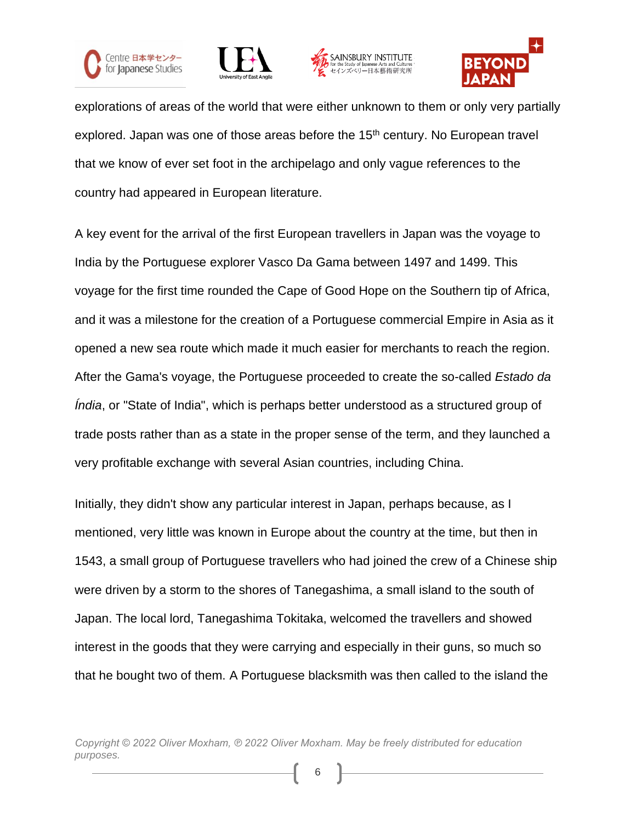







explorations of areas of the world that were either unknown to them or only very partially explored. Japan was one of those areas before the 15<sup>th</sup> century. No European travel that we know of ever set foot in the archipelago and only vague references to the country had appeared in European literature.

A key event for the arrival of the first European travellers in Japan was the voyage to India by the Portuguese explorer Vasco Da Gama between 1497 and 1499. This voyage for the first time rounded the Cape of Good Hope on the Southern tip of Africa, and it was a milestone for the creation of a Portuguese commercial Empire in Asia as it opened a new sea route which made it much easier for merchants to reach the region. After the Gama's voyage, the Portuguese proceeded to create the so-called *Estado da Índia*, or "State of India", which is perhaps better understood as a structured group of trade posts rather than as a state in the proper sense of the term, and they launched a very profitable exchange with several Asian countries, including China.

Initially, they didn't show any particular interest in Japan, perhaps because, as I mentioned, very little was known in Europe about the country at the time, but then in 1543, a small group of Portuguese travellers who had joined the crew of a Chinese ship were driven by a storm to the shores of Tanegashima, a small island to the south of Japan. The local lord, Tanegashima Tokitaka, welcomed the travellers and showed interest in the goods that they were carrying and especially in their guns, so much so that he bought two of them. A Portuguese blacksmith was then called to the island the

*Copyright © 2022 Oliver Moxham, ℗ 2022 Oliver Moxham. May be freely distributed for education purposes.*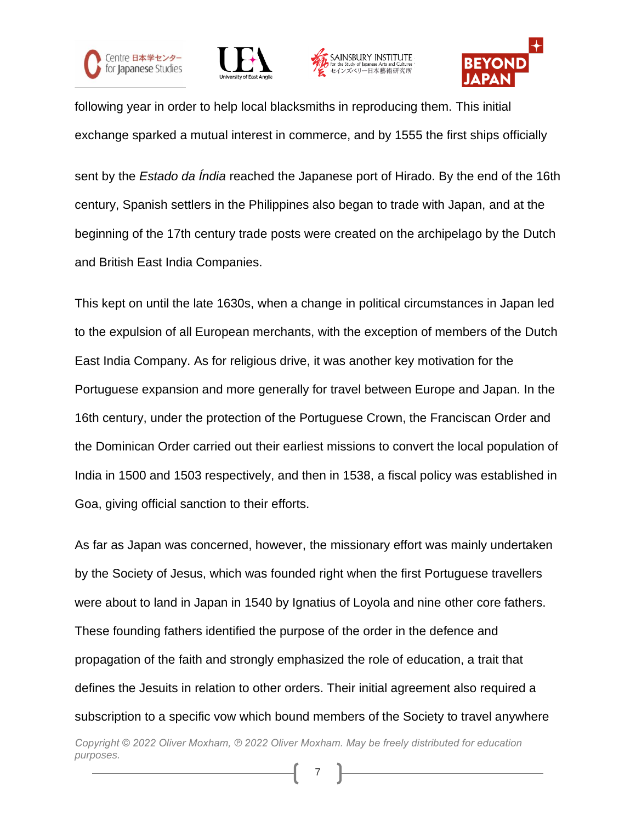







following year in order to help local blacksmiths in reproducing them. This initial exchange sparked a mutual interest in commerce, and by 1555 the first ships officially

sent by the *Estado da Índia* reached the Japanese port of Hirado. By the end of the 16th century, Spanish settlers in the Philippines also began to trade with Japan, and at the beginning of the 17th century trade posts were created on the archipelago by the Dutch and British East India Companies.

This kept on until the late 1630s, when a change in political circumstances in Japan led to the expulsion of all European merchants, with the exception of members of the Dutch East India Company. As for religious drive, it was another key motivation for the Portuguese expansion and more generally for travel between Europe and Japan. In the 16th century, under the protection of the Portuguese Crown, the Franciscan Order and the Dominican Order carried out their earliest missions to convert the local population of India in 1500 and 1503 respectively, and then in 1538, a fiscal policy was established in Goa, giving official sanction to their efforts.

As far as Japan was concerned, however, the missionary effort was mainly undertaken by the Society of Jesus, which was founded right when the first Portuguese travellers were about to land in Japan in 1540 by Ignatius of Loyola and nine other core fathers. These founding fathers identified the purpose of the order in the defence and propagation of the faith and strongly emphasized the role of education, a trait that defines the Jesuits in relation to other orders. Their initial agreement also required a subscription to a specific vow which bound members of the Society to travel anywhere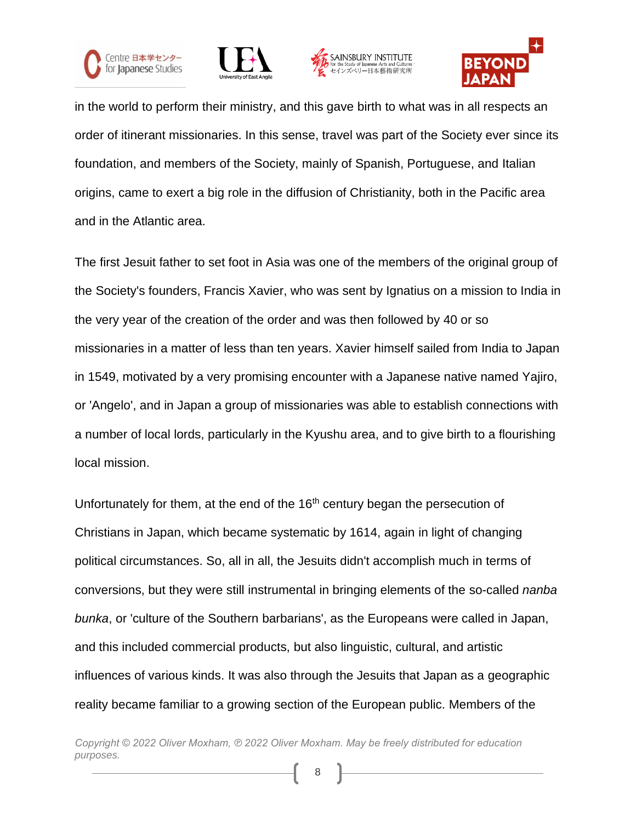







in the world to perform their ministry, and this gave birth to what was in all respects an order of itinerant missionaries. In this sense, travel was part of the Society ever since its foundation, and members of the Society, mainly of Spanish, Portuguese, and Italian origins, came to exert a big role in the diffusion of Christianity, both in the Pacific area and in the Atlantic area.

The first Jesuit father to set foot in Asia was one of the members of the original group of the Society's founders, Francis Xavier, who was sent by Ignatius on a mission to India in the very year of the creation of the order and was then followed by 40 or so missionaries in a matter of less than ten years. Xavier himself sailed from India to Japan in 1549, motivated by a very promising encounter with a Japanese native named Yajiro, or 'Angelo', and in Japan a group of missionaries was able to establish connections with a number of local lords, particularly in the Kyushu area, and to give birth to a flourishing local mission.

Unfortunately for them, at the end of the  $16<sup>th</sup>$  century began the persecution of Christians in Japan, which became systematic by 1614, again in light of changing political circumstances. So, all in all, the Jesuits didn't accomplish much in terms of conversions, but they were still instrumental in bringing elements of the so-called *nanba bunka*, or 'culture of the Southern barbarians', as the Europeans were called in Japan, and this included commercial products, but also linguistic, cultural, and artistic influences of various kinds. It was also through the Jesuits that Japan as a geographic reality became familiar to a growing section of the European public. Members of the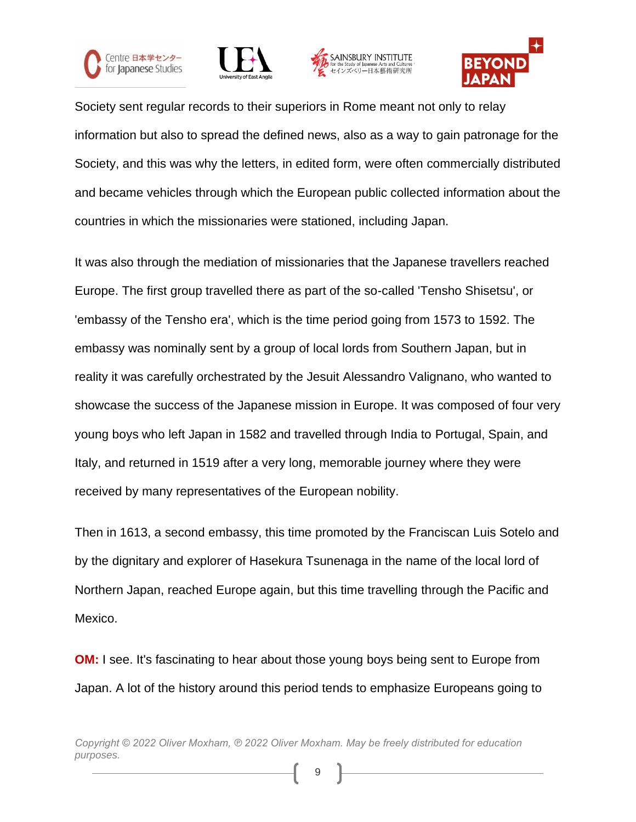







Society sent regular records to their superiors in Rome meant not only to relay information but also to spread the defined news, also as a way to gain patronage for the Society, and this was why the letters, in edited form, were often commercially distributed and became vehicles through which the European public collected information about the countries in which the missionaries were stationed, including Japan.

It was also through the mediation of missionaries that the Japanese travellers reached Europe. The first group travelled there as part of the so-called 'Tensho Shisetsu', or 'embassy of the Tensho era', which is the time period going from 1573 to 1592. The embassy was nominally sent by a group of local lords from Southern Japan, but in reality it was carefully orchestrated by the Jesuit Alessandro Valignano, who wanted to showcase the success of the Japanese mission in Europe. It was composed of four very young boys who left Japan in 1582 and travelled through India to Portugal, Spain, and Italy, and returned in 1519 after a very long, memorable journey where they were received by many representatives of the European nobility.

Then in 1613, a second embassy, this time promoted by the Franciscan Luis Sotelo and by the dignitary and explorer of Hasekura Tsunenaga in the name of the local lord of Northern Japan, reached Europe again, but this time travelling through the Pacific and Mexico.

**OM:** I see. It's fascinating to hear about those young boys being sent to Europe from Japan. A lot of the history around this period tends to emphasize Europeans going to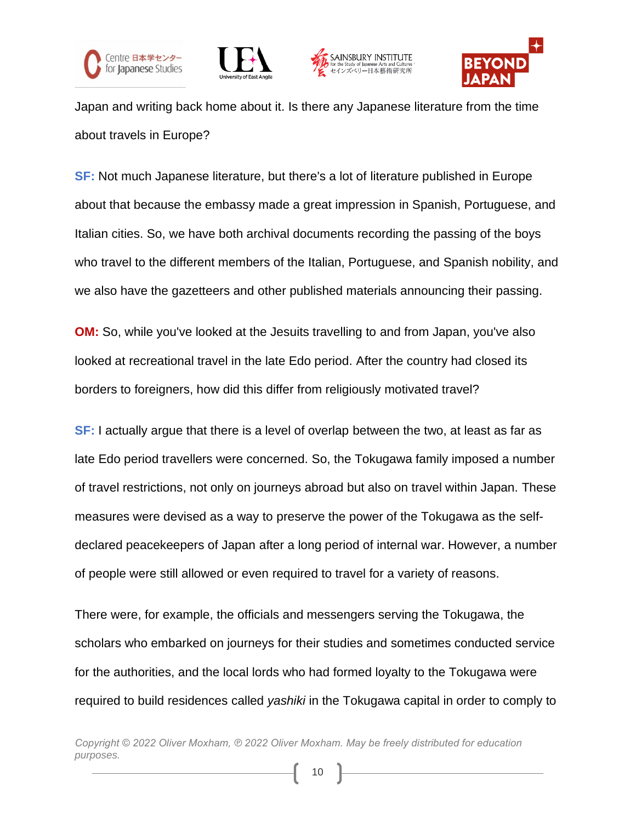







Japan and writing back home about it. Is there any Japanese literature from the time about travels in Europe?

**SF:** Not much Japanese literature, but there's a lot of literature published in Europe about that because the embassy made a great impression in Spanish, Portuguese, and Italian cities. So, we have both archival documents recording the passing of the boys who travel to the different members of the Italian, Portuguese, and Spanish nobility, and we also have the gazetteers and other published materials announcing their passing.

**OM:** So, while you've looked at the Jesuits travelling to and from Japan, you've also looked at recreational travel in the late Edo period. After the country had closed its borders to foreigners, how did this differ from religiously motivated travel?

**SF:** I actually argue that there is a level of overlap between the two, at least as far as late Edo period travellers were concerned. So, the Tokugawa family imposed a number of travel restrictions, not only on journeys abroad but also on travel within Japan. These measures were devised as a way to preserve the power of the Tokugawa as the selfdeclared peacekeepers of Japan after a long period of internal war. However, a number of people were still allowed or even required to travel for a variety of reasons.

There were, for example, the officials and messengers serving the Tokugawa, the scholars who embarked on journeys for their studies and sometimes conducted service for the authorities, and the local lords who had formed loyalty to the Tokugawa were required to build residences called *yashiki* in the Tokugawa capital in order to comply to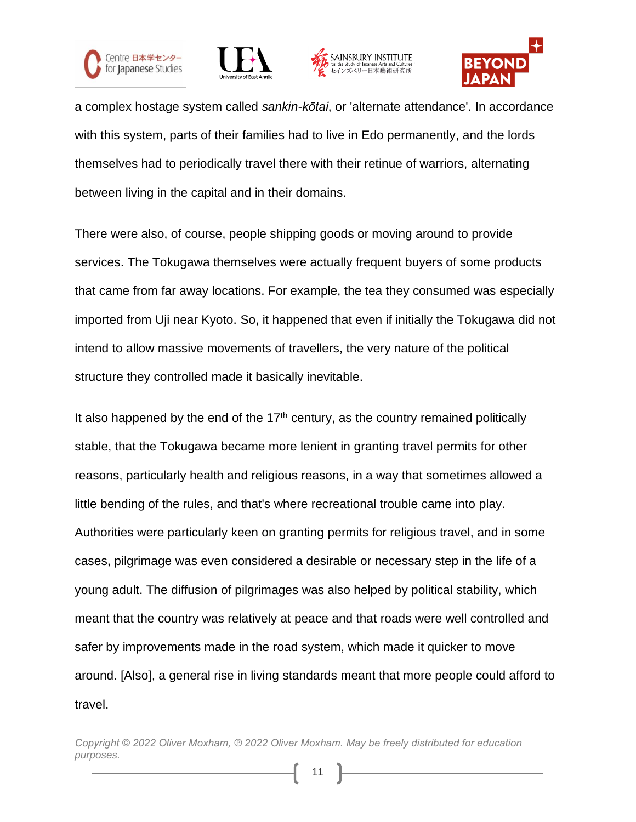







a complex hostage system called *sankin-kōtai*, or 'alternate attendance'. In accordance with this system, parts of their families had to live in Edo permanently, and the lords themselves had to periodically travel there with their retinue of warriors, alternating between living in the capital and in their domains.

There were also, of course, people shipping goods or moving around to provide services. The Tokugawa themselves were actually frequent buyers of some products that came from far away locations. For example, the tea they consumed was especially imported from Uji near Kyoto. So, it happened that even if initially the Tokugawa did not intend to allow massive movements of travellers, the very nature of the political structure they controlled made it basically inevitable.

It also happened by the end of the  $17<sup>th</sup>$  century, as the country remained politically stable, that the Tokugawa became more lenient in granting travel permits for other reasons, particularly health and religious reasons, in a way that sometimes allowed a little bending of the rules, and that's where recreational trouble came into play. Authorities were particularly keen on granting permits for religious travel, and in some cases, pilgrimage was even considered a desirable or necessary step in the life of a young adult. The diffusion of pilgrimages was also helped by political stability, which meant that the country was relatively at peace and that roads were well controlled and safer by improvements made in the road system, which made it quicker to move around. [Also], a general rise in living standards meant that more people could afford to travel.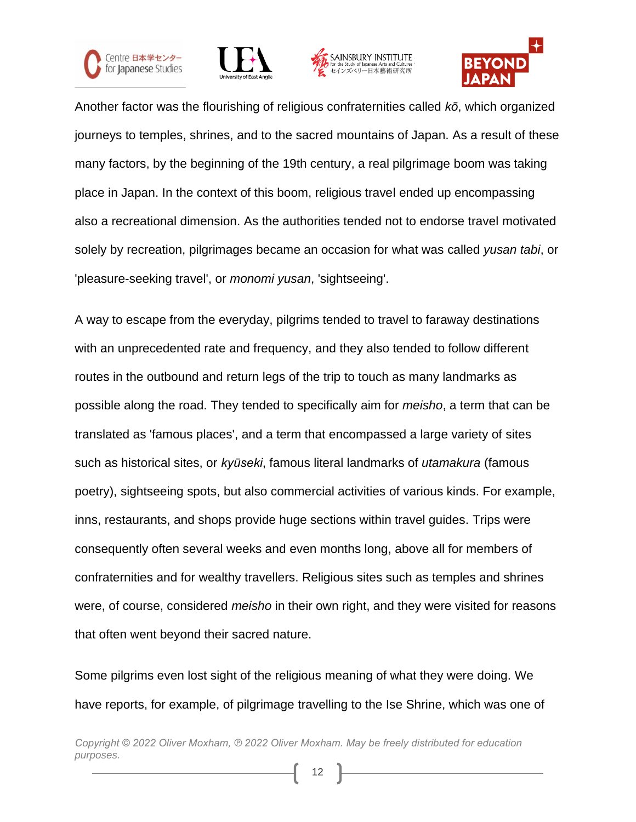







Another factor was the flourishing of religious confraternities called *kō*, which organized journeys to temples, shrines, and to the sacred mountains of Japan. As a result of these many factors, by the beginning of the 19th century, a real pilgrimage boom was taking place in Japan. In the context of this boom, religious travel ended up encompassing also a recreational dimension. As the authorities tended not to endorse travel motivated solely by recreation, pilgrimages became an occasion for what was called *yusan tabi*, or 'pleasure-seeking travel', or *monomi yusan*, 'sightseeing'.

A way to escape from the everyday, pilgrims tended to travel to faraway destinations with an unprecedented rate and frequency, and they also tended to follow different routes in the outbound and return legs of the trip to touch as many landmarks as possible along the road. They tended to specifically aim for *meisho*, a term that can be translated as 'famous places', and a term that encompassed a large variety of sites such as historical sites, or *kyūseki*, famous literal landmarks of *utamakura* (famous poetry), sightseeing spots, but also commercial activities of various kinds. For example, inns, restaurants, and shops provide huge sections within travel guides. Trips were consequently often several weeks and even months long, above all for members of confraternities and for wealthy travellers. Religious sites such as temples and shrines were, of course, considered *meisho* in their own right, and they were visited for reasons that often went beyond their sacred nature.

Some pilgrims even lost sight of the religious meaning of what they were doing. We have reports, for example, of pilgrimage travelling to the Ise Shrine, which was one of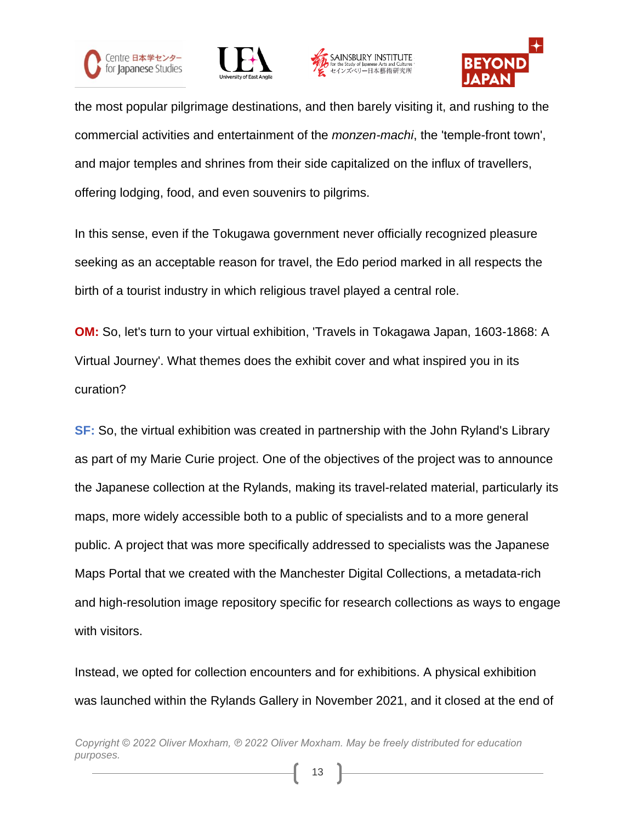







the most popular pilgrimage destinations, and then barely visiting it, and rushing to the commercial activities and entertainment of the *monzen-machi*, the 'temple-front town', and major temples and shrines from their side capitalized on the influx of travellers, offering lodging, food, and even souvenirs to pilgrims.

In this sense, even if the Tokugawa government never officially recognized pleasure seeking as an acceptable reason for travel, the Edo period marked in all respects the birth of a tourist industry in which religious travel played a central role.

**OM:** So, let's turn to your virtual exhibition, 'Travels in Tokagawa Japan, 1603-1868: A Virtual Journey'. What themes does the exhibit cover and what inspired you in its curation?

**SF:** So, the virtual exhibition was created in partnership with the John Ryland's Library as part of my Marie Curie project. One of the objectives of the project was to announce the Japanese collection at the Rylands, making its travel-related material, particularly its maps, more widely accessible both to a public of specialists and to a more general public. A project that was more specifically addressed to specialists was the Japanese Maps Portal that we created with the Manchester Digital Collections, a metadata-rich and high-resolution image repository specific for research collections as ways to engage with visitors.

Instead, we opted for collection encounters and for exhibitions. A physical exhibition was launched within the Rylands Gallery in November 2021, and it closed at the end of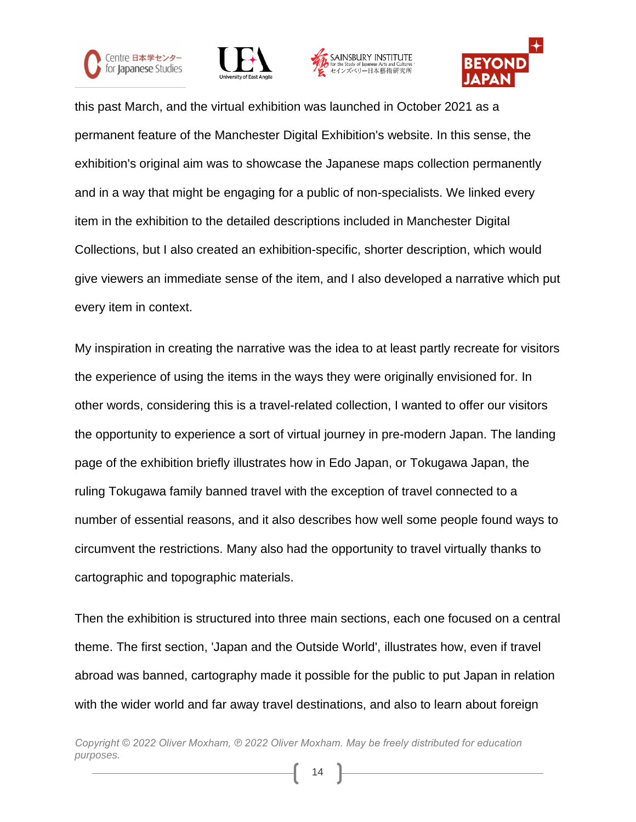







this past March, and the virtual exhibition was launched in October 2021 as a permanent feature of the Manchester Digital Exhibition's website. In this sense, the exhibition's original aim was to showcase the Japanese maps collection permanently and in a way that might be engaging for a public of non-specialists. We linked every item in the exhibition to the detailed descriptions included in Manchester Digital Collections, but I also created an exhibition-specific, shorter description, which would give viewers an immediate sense of the item, and I also developed a narrative which put every item in context.

My inspiration in creating the narrative was the idea to at least partly recreate for visitors the experience of using the items in the ways they were originally envisioned for. In other words, considering this is a travel-related collection, I wanted to offer our visitors the opportunity to experience a sort of virtual journey in pre-modern Japan. The landing page of the exhibition briefly illustrates how in Edo Japan, or Tokugawa Japan, the ruling Tokugawa family banned travel with the exception of travel connected to a number of essential reasons, and it also describes how well some people found ways to circumvent the restrictions. Many also had the opportunity to travel virtually thanks to cartographic and topographic materials.

Then the exhibition is structured into three main sections, each one focused on a central theme. The first section, 'Japan and the Outside World', illustrates how, even if travel abroad was banned, cartography made it possible for the public to put Japan in relation with the wider world and far away travel destinations, and also to learn about foreign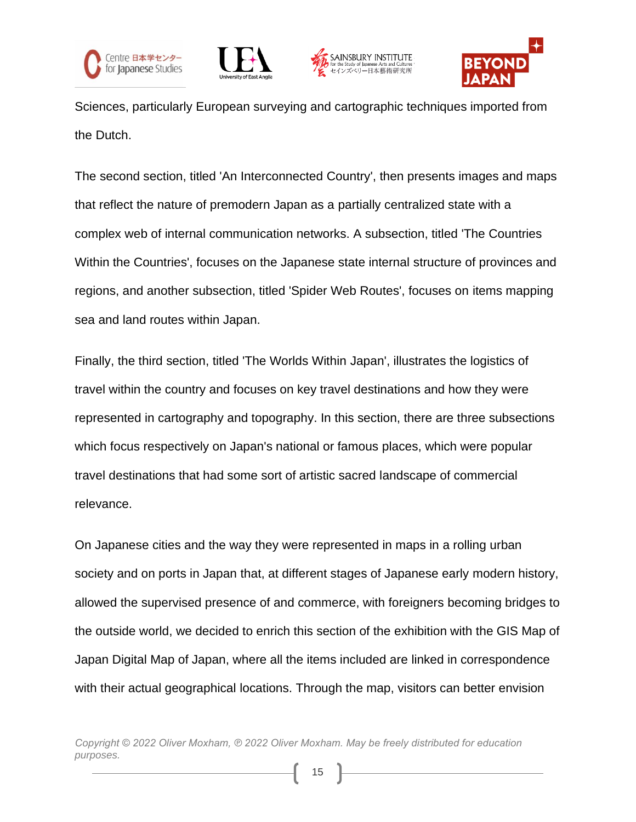







Sciences, particularly European surveying and cartographic techniques imported from the Dutch.

The second section, titled 'An Interconnected Country', then presents images and maps that reflect the nature of premodern Japan as a partially centralized state with a complex web of internal communication networks. A subsection, titled 'The Countries Within the Countries', focuses on the Japanese state internal structure of provinces and regions, and another subsection, titled 'Spider Web Routes', focuses on items mapping sea and land routes within Japan.

Finally, the third section, titled 'The Worlds Within Japan', illustrates the logistics of travel within the country and focuses on key travel destinations and how they were represented in cartography and topography. In this section, there are three subsections which focus respectively on Japan's national or famous places, which were popular travel destinations that had some sort of artistic sacred landscape of commercial relevance.

On Japanese cities and the way they were represented in maps in a rolling urban society and on ports in Japan that, at different stages of Japanese early modern history, allowed the supervised presence of and commerce, with foreigners becoming bridges to the outside world, we decided to enrich this section of the exhibition with the GIS Map of Japan Digital Map of Japan, where all the items included are linked in correspondence with their actual geographical locations. Through the map, visitors can better envision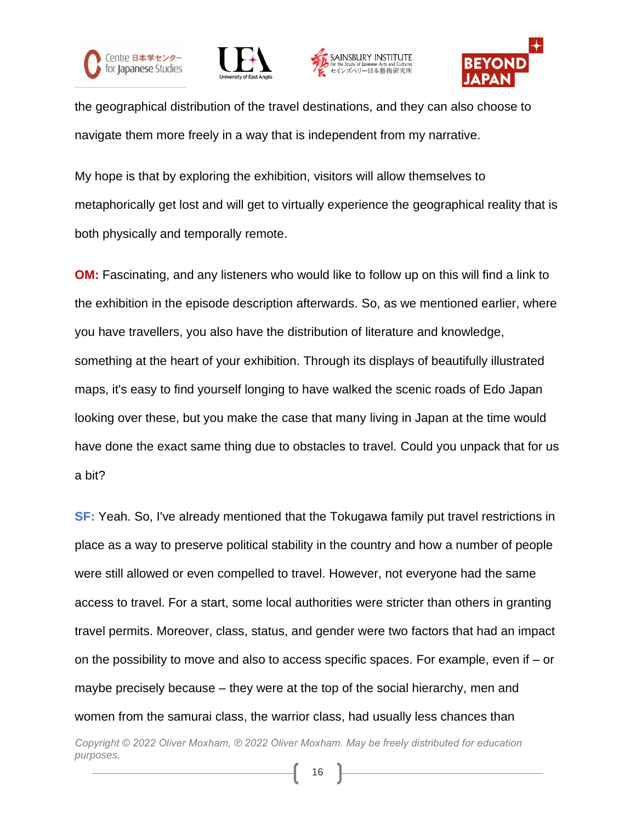







the geographical distribution of the travel destinations, and they can also choose to navigate them more freely in a way that is independent from my narrative.

My hope is that by exploring the exhibition, visitors will allow themselves to metaphorically get lost and will get to virtually experience the geographical reality that is both physically and temporally remote.

**OM:** Fascinating, and any listeners who would like to follow up on this will find a link to the exhibition in the episode description afterwards. So, as we mentioned earlier, where you have travellers, you also have the distribution of literature and knowledge, something at the heart of your exhibition. Through its displays of beautifully illustrated maps, it's easy to find yourself longing to have walked the scenic roads of Edo Japan looking over these, but you make the case that many living in Japan at the time would have done the exact same thing due to obstacles to travel. Could you unpack that for us a bit?

**SF:** Yeah. So, I've already mentioned that the Tokugawa family put travel restrictions in place as a way to preserve political stability in the country and how a number of people were still allowed or even compelled to travel. However, not everyone had the same access to travel. For a start, some local authorities were stricter than others in granting travel permits. Moreover, class, status, and gender were two factors that had an impact on the possibility to move and also to access specific spaces. For example, even if – or maybe precisely because – they were at the top of the social hierarchy, men and women from the samurai class, the warrior class, had usually less chances than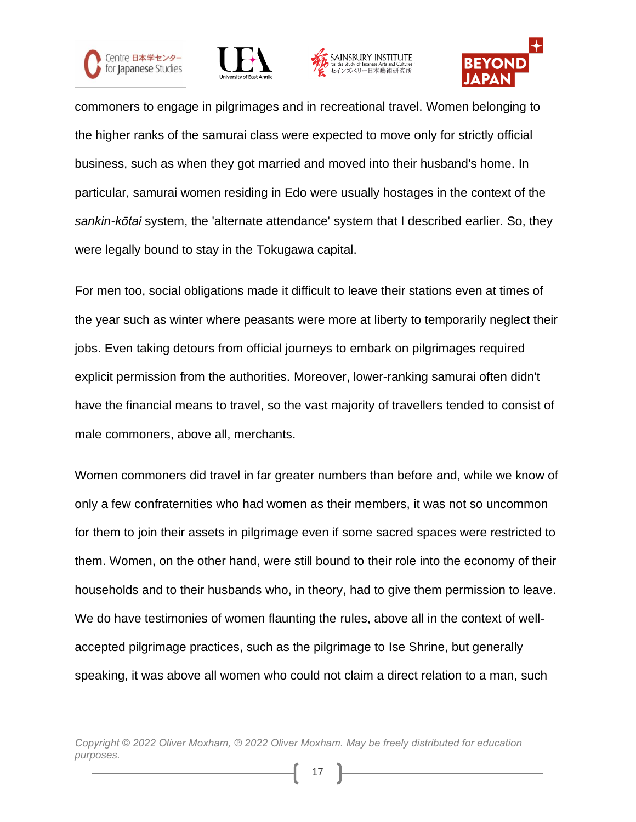







commoners to engage in pilgrimages and in recreational travel. Women belonging to the higher ranks of the samurai class were expected to move only for strictly official business, such as when they got married and moved into their husband's home. In particular, samurai women residing in Edo were usually hostages in the context of the *sankin-kōtai* system, the 'alternate attendance' system that I described earlier. So, they were legally bound to stay in the Tokugawa capital.

For men too, social obligations made it difficult to leave their stations even at times of the year such as winter where peasants were more at liberty to temporarily neglect their jobs. Even taking detours from official journeys to embark on pilgrimages required explicit permission from the authorities. Moreover, lower-ranking samurai often didn't have the financial means to travel, so the vast majority of travellers tended to consist of male commoners, above all, merchants.

Women commoners did travel in far greater numbers than before and, while we know of only a few confraternities who had women as their members, it was not so uncommon for them to join their assets in pilgrimage even if some sacred spaces were restricted to them. Women, on the other hand, were still bound to their role into the economy of their households and to their husbands who, in theory, had to give them permission to leave. We do have testimonies of women flaunting the rules, above all in the context of wellaccepted pilgrimage practices, such as the pilgrimage to Ise Shrine, but generally speaking, it was above all women who could not claim a direct relation to a man, such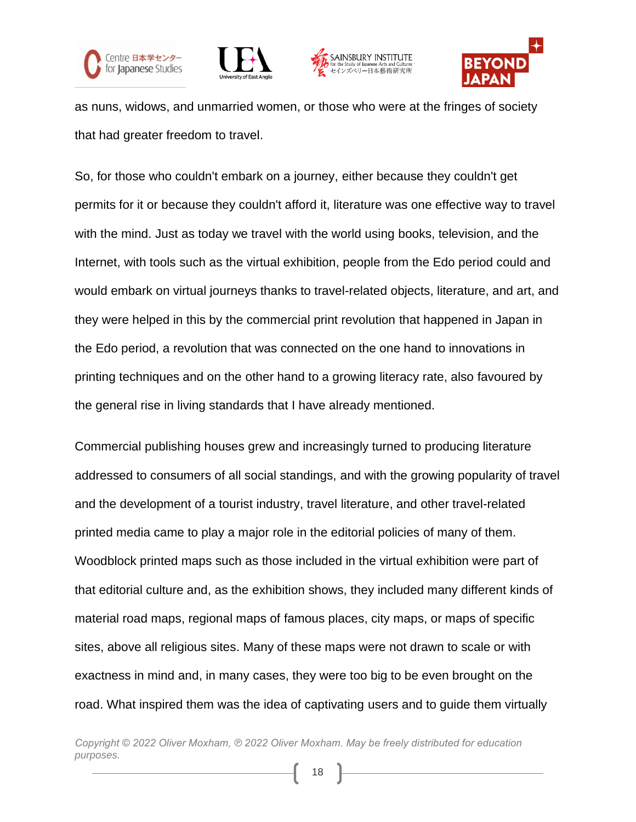







as nuns, widows, and unmarried women, or those who were at the fringes of society that had greater freedom to travel.

So, for those who couldn't embark on a journey, either because they couldn't get permits for it or because they couldn't afford it, literature was one effective way to travel with the mind. Just as today we travel with the world using books, television, and the Internet, with tools such as the virtual exhibition, people from the Edo period could and would embark on virtual journeys thanks to travel-related objects, literature, and art, and they were helped in this by the commercial print revolution that happened in Japan in the Edo period, a revolution that was connected on the one hand to innovations in printing techniques and on the other hand to a growing literacy rate, also favoured by the general rise in living standards that I have already mentioned.

Commercial publishing houses grew and increasingly turned to producing literature addressed to consumers of all social standings, and with the growing popularity of travel and the development of a tourist industry, travel literature, and other travel-related printed media came to play a major role in the editorial policies of many of them. Woodblock printed maps such as those included in the virtual exhibition were part of that editorial culture and, as the exhibition shows, they included many different kinds of material road maps, regional maps of famous places, city maps, or maps of specific sites, above all religious sites. Many of these maps were not drawn to scale or with exactness in mind and, in many cases, they were too big to be even brought on the road. What inspired them was the idea of captivating users and to guide them virtually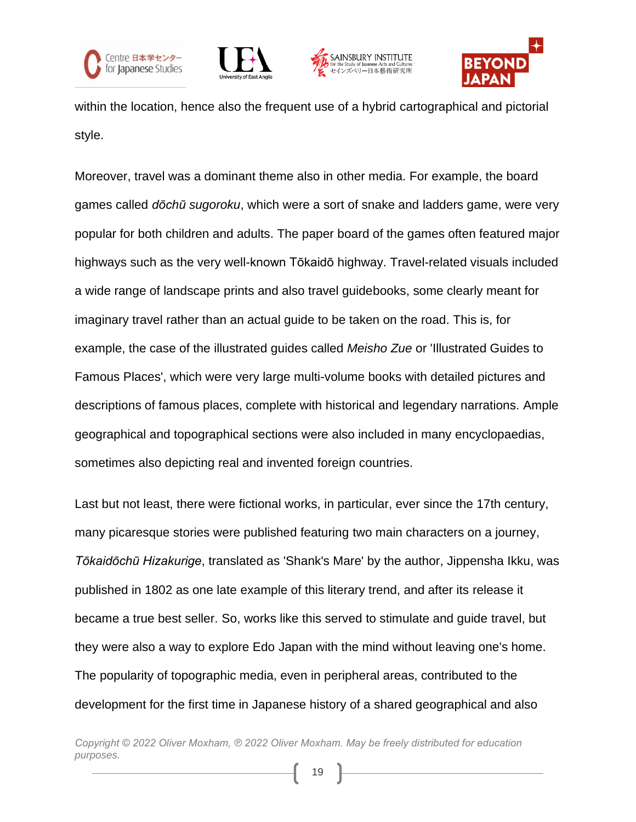







within the location, hence also the frequent use of a hybrid cartographical and pictorial style.

Moreover, travel was a dominant theme also in other media. For example, the board games called *dōchū sugoroku*, which were a sort of snake and ladders game, were very popular for both children and adults. The paper board of the games often featured major highways such as the very well-known Tōkaidō highway. Travel-related visuals included a wide range of landscape prints and also travel guidebooks, some clearly meant for imaginary travel rather than an actual guide to be taken on the road. This is, for example, the case of the illustrated guides called *Meisho Zue* or 'Illustrated Guides to Famous Places', which were very large multi-volume books with detailed pictures and descriptions of famous places, complete with historical and legendary narrations. Ample geographical and topographical sections were also included in many encyclopaedias, sometimes also depicting real and invented foreign countries.

Last but not least, there were fictional works, in particular, ever since the 17th century, many picaresque stories were published featuring two main characters on a journey, *Tōkaidōchū Hizakurige*, translated as 'Shank's Mare' by the author, Jippensha Ikku, was published in 1802 as one late example of this literary trend, and after its release it became a true best seller. So, works like this served to stimulate and guide travel, but they were also a way to explore Edo Japan with the mind without leaving one's home. The popularity of topographic media, even in peripheral areas, contributed to the development for the first time in Japanese history of a shared geographical and also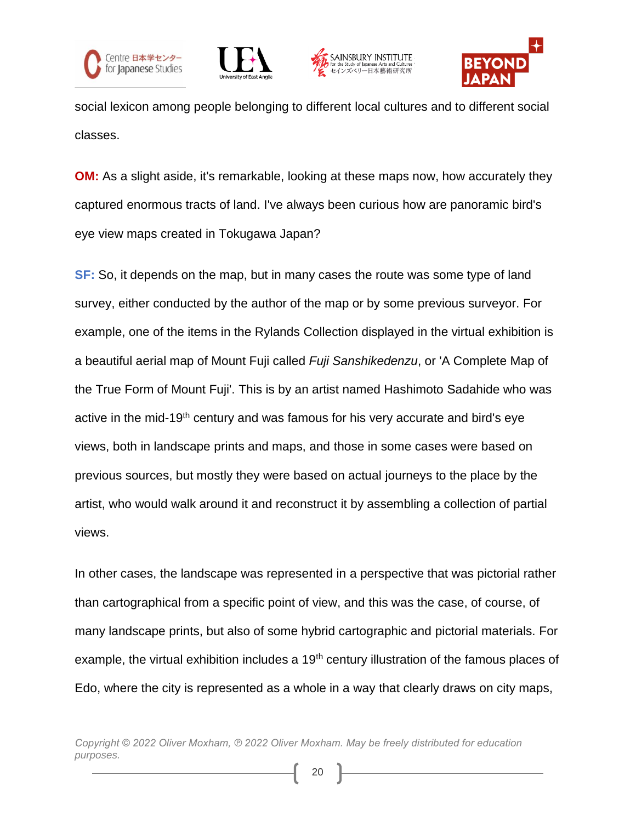







social lexicon among people belonging to different local cultures and to different social classes.

**OM:** As a slight aside, it's remarkable, looking at these maps now, how accurately they captured enormous tracts of land. I've always been curious how are panoramic bird's eye view maps created in Tokugawa Japan?

**SF:** So, it depends on the map, but in many cases the route was some type of land survey, either conducted by the author of the map or by some previous surveyor. For example, one of the items in the Rylands Collection displayed in the virtual exhibition is a beautiful aerial map of Mount Fuji called *Fuji Sanshikedenzu*, or 'A Complete Map of the True Form of Mount Fuji'. This is by an artist named Hashimoto Sadahide who was active in the mid-19<sup>th</sup> century and was famous for his very accurate and bird's eye views, both in landscape prints and maps, and those in some cases were based on previous sources, but mostly they were based on actual journeys to the place by the artist, who would walk around it and reconstruct it by assembling a collection of partial views.

In other cases, the landscape was represented in a perspective that was pictorial rather than cartographical from a specific point of view, and this was the case, of course, of many landscape prints, but also of some hybrid cartographic and pictorial materials. For example, the virtual exhibition includes a 19<sup>th</sup> century illustration of the famous places of Edo, where the city is represented as a whole in a way that clearly draws on city maps,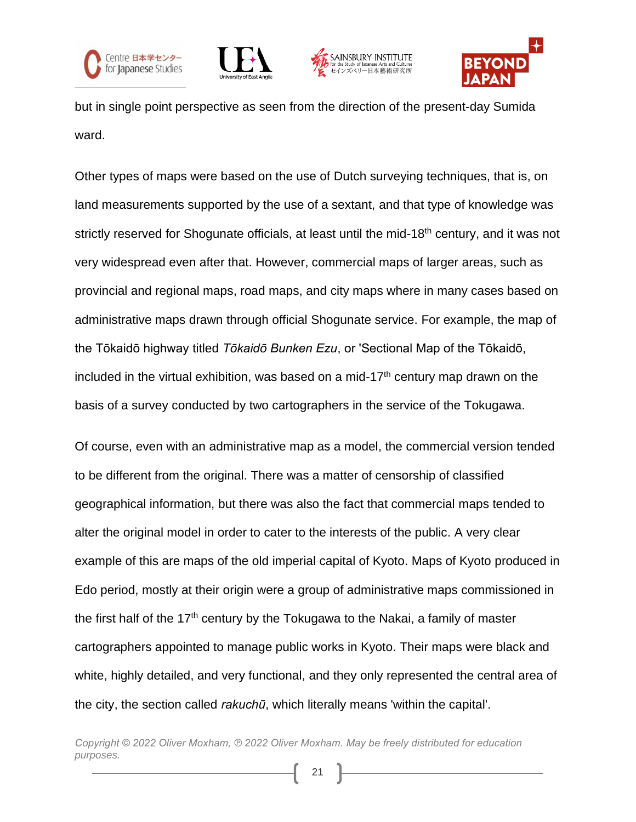







but in single point perspective as seen from the direction of the present-day Sumida ward.

Other types of maps were based on the use of Dutch surveying techniques, that is, on land measurements supported by the use of a sextant, and that type of knowledge was strictly reserved for Shogunate officials, at least until the mid-18<sup>th</sup> century, and it was not very widespread even after that. However, commercial maps of larger areas, such as provincial and regional maps, road maps, and city maps where in many cases based on administrative maps drawn through official Shogunate service. For example, the map of the Tōkaidō highway titled *Tōkaidō Bunken Ezu*, or 'Sectional Map of the Tōkaidō, included in the virtual exhibition, was based on a mid-17<sup>th</sup> century map drawn on the basis of a survey conducted by two cartographers in the service of the Tokugawa.

Of course, even with an administrative map as a model, the commercial version tended to be different from the original. There was a matter of censorship of classified geographical information, but there was also the fact that commercial maps tended to alter the original model in order to cater to the interests of the public. A very clear example of this are maps of the old imperial capital of Kyoto. Maps of Kyoto produced in Edo period, mostly at their origin were a group of administrative maps commissioned in the first half of the  $17<sup>th</sup>$  century by the Tokugawa to the Nakai, a family of master cartographers appointed to manage public works in Kyoto. Their maps were black and white, highly detailed, and very functional, and they only represented the central area of the city, the section called *rakuchū*, which literally means 'within the capital'.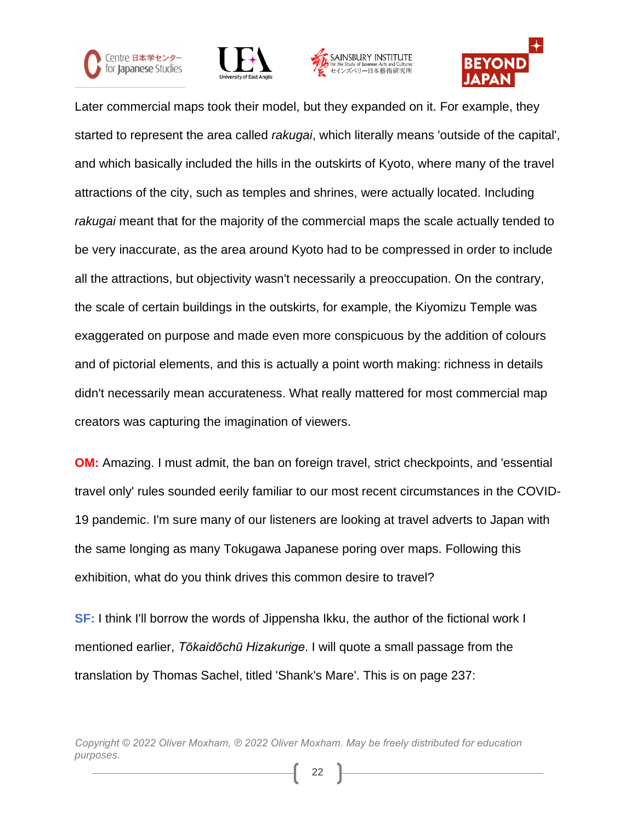







Later commercial maps took their model, but they expanded on it. For example, they started to represent the area called *rakugai*, which literally means 'outside of the capital', and which basically included the hills in the outskirts of Kyoto, where many of the travel attractions of the city, such as temples and shrines, were actually located. Including *rakugai* meant that for the majority of the commercial maps the scale actually tended to be very inaccurate, as the area around Kyoto had to be compressed in order to include all the attractions, but objectivity wasn't necessarily a preoccupation. On the contrary, the scale of certain buildings in the outskirts, for example, the Kiyomizu Temple was exaggerated on purpose and made even more conspicuous by the addition of colours and of pictorial elements, and this is actually a point worth making: richness in details didn't necessarily mean accurateness. What really mattered for most commercial map creators was capturing the imagination of viewers.

**OM:** Amazing. I must admit, the ban on foreign travel, strict checkpoints, and 'essential travel only' rules sounded eerily familiar to our most recent circumstances in the COVID-19 pandemic. I'm sure many of our listeners are looking at travel adverts to Japan with the same longing as many Tokugawa Japanese poring over maps. Following this exhibition, what do you think drives this common desire to travel?

**SF:** I think I'll borrow the words of Jippensha Ikku, the author of the fictional work I mentioned earlier, *Tōkaidōchū Hizakurige*. I will quote a small passage from the translation by Thomas Sachel, titled 'Shank's Mare'. This is on page 237: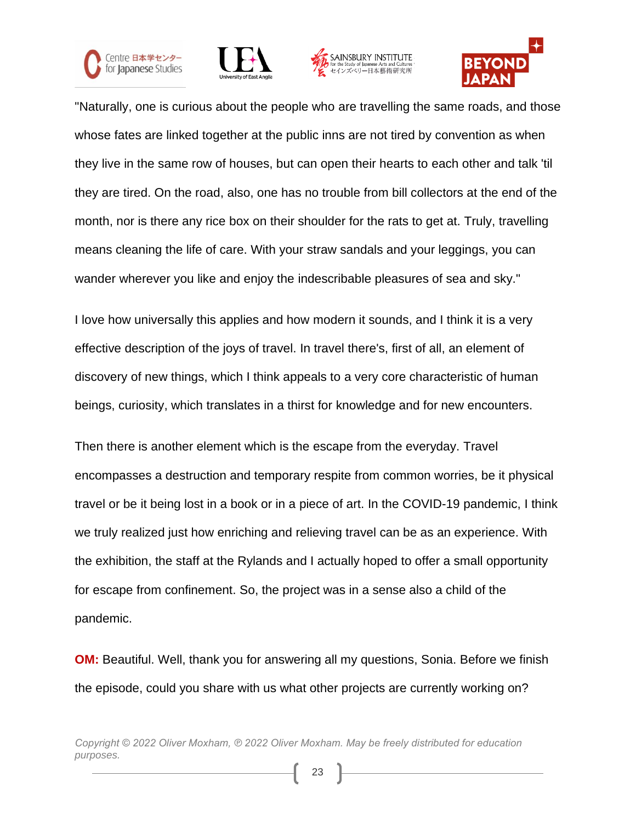







"Naturally, one is curious about the people who are travelling the same roads, and those whose fates are linked together at the public inns are not tired by convention as when they live in the same row of houses, but can open their hearts to each other and talk 'til they are tired. On the road, also, one has no trouble from bill collectors at the end of the month, nor is there any rice box on their shoulder for the rats to get at. Truly, travelling means cleaning the life of care. With your straw sandals and your leggings, you can wander wherever you like and enjoy the indescribable pleasures of sea and sky."

I love how universally this applies and how modern it sounds, and I think it is a very effective description of the joys of travel. In travel there's, first of all, an element of discovery of new things, which I think appeals to a very core characteristic of human beings, curiosity, which translates in a thirst for knowledge and for new encounters.

Then there is another element which is the escape from the everyday. Travel encompasses a destruction and temporary respite from common worries, be it physical travel or be it being lost in a book or in a piece of art. In the COVID-19 pandemic, I think we truly realized just how enriching and relieving travel can be as an experience. With the exhibition, the staff at the Rylands and I actually hoped to offer a small opportunity for escape from confinement. So, the project was in a sense also a child of the pandemic.

**OM:** Beautiful. Well, thank you for answering all my questions, Sonia. Before we finish the episode, could you share with us what other projects are currently working on?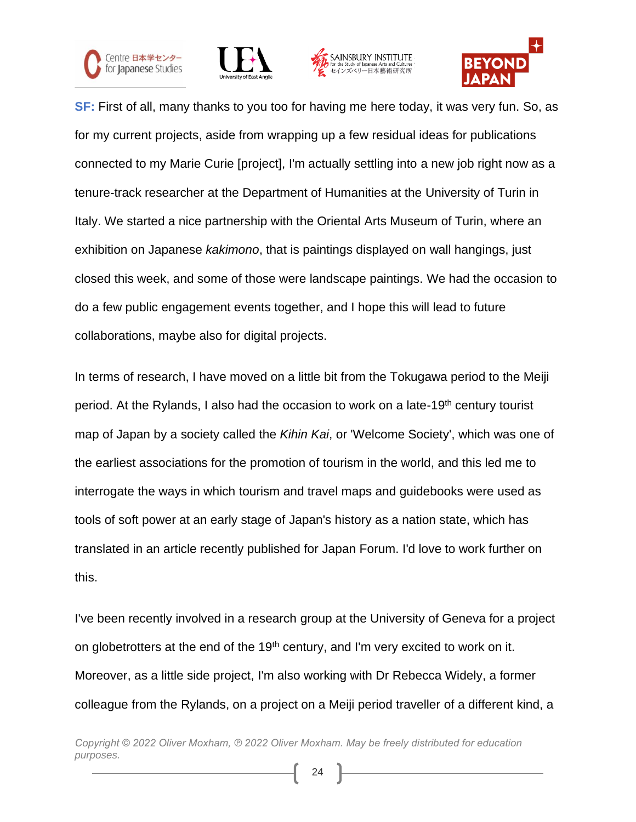







**SF:** First of all, many thanks to you too for having me here today, it was very fun. So, as for my current projects, aside from wrapping up a few residual ideas for publications connected to my Marie Curie [project], I'm actually settling into a new job right now as a tenure-track researcher at the Department of Humanities at the University of Turin in Italy. We started a nice partnership with the Oriental Arts Museum of Turin, where an exhibition on Japanese *kakimono*, that is paintings displayed on wall hangings, just closed this week, and some of those were landscape paintings. We had the occasion to do a few public engagement events together, and I hope this will lead to future collaborations, maybe also for digital projects.

In terms of research, I have moved on a little bit from the Tokugawa period to the Meiji period. At the Rylands, I also had the occasion to work on a late-19<sup>th</sup> century tourist map of Japan by a society called the *Kihin Kai*, or 'Welcome Society', which was one of the earliest associations for the promotion of tourism in the world, and this led me to interrogate the ways in which tourism and travel maps and guidebooks were used as tools of soft power at an early stage of Japan's history as a nation state, which has translated in an article recently published for Japan Forum. I'd love to work further on this.

I've been recently involved in a research group at the University of Geneva for a project on globetrotters at the end of the 19<sup>th</sup> century, and I'm very excited to work on it. Moreover, as a little side project, I'm also working with Dr Rebecca Widely, a former colleague from the Rylands, on a project on a Meiji period traveller of a different kind, a